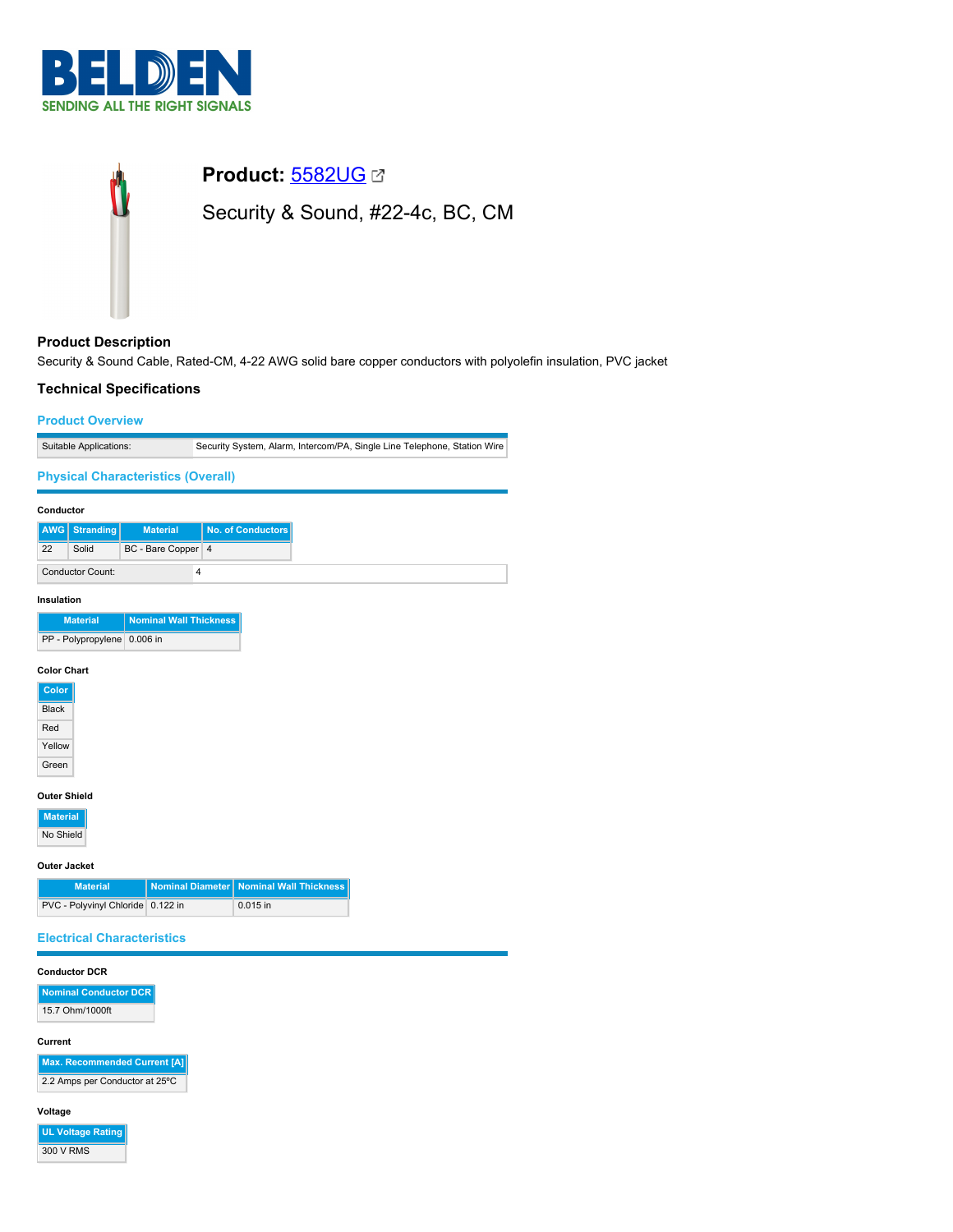



# **Product Description**

Security & Sound Cable, Rated-CM, 4-22 AWG solid bare copper conductors with polyolefin insulation, PVC jacket

# **Technical Specifications**

## **Product Overview**

| Suitable Applications: | Security System, Alarm, Intercom/PA, Single Line Telephone, Station Wire |
|------------------------|--------------------------------------------------------------------------|

## **Physical Characteristics (Overall)**

| Conductor  |                         |                    |                   |
|------------|-------------------------|--------------------|-------------------|
|            | <b>AWG</b> Stranding    | <b>Material</b>    | No. of Conductors |
| 22         | Solid                   | BC - Bare Copper 4 |                   |
|            | <b>Conductor Count:</b> | 4                  |                   |
| Insulation |                         |                    |                   |

| <b>Material</b>             | Nominal Wall Thickness |
|-----------------------------|------------------------|
| PP - Polypropylene 0.006 in |                        |

# **Color Chart**

| Color        |
|--------------|
| <b>Black</b> |
| Red          |
| Yellow       |
| Green        |
|              |

# **Outer Shield**

**Material** No Shield

#### **Outer Jacket**

| <b>Material</b>                   | Nominal Diameter   Nominal Wall Thickness |
|-----------------------------------|-------------------------------------------|
| PVC - Polyvinyl Chloride 0.122 in | $0.015$ in                                |

## **Electrical Characteristics**

#### **Conductor DCR**

**Nominal Conductor DCR** 15.7 Ohm/1000ft

#### **Current**

**Max. Recommended Current [A]** 2.2 Amps per Conductor at 25ºC

## **Voltage**

**UL Voltage Rating** 300 V RMS